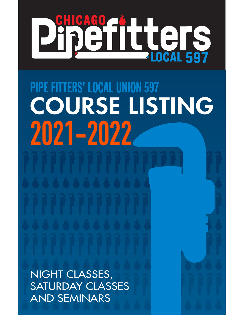# CAGO JULICIS **S**

PIPE FITTERS' LOCAL UNION 597 **2021-2022** COURSE LISTING

NIGHT CLASSES, SATURDAY CLASSES AND SEMINARS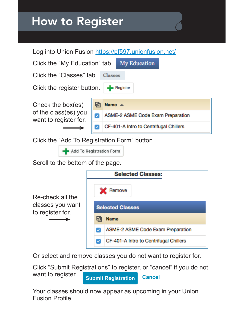## How to Register



Click the "Add To Registration Form" button.

Add To Registration Form

Scroll to the bottom of the page.

|                                      | <b>Selected Classes:</b>               |  |  |
|--------------------------------------|----------------------------------------|--|--|
| Re-check all the                     | Remove                                 |  |  |
| classes you want<br>to register for. | <b>Selected Classes</b>                |  |  |
|                                      | <b>Name</b>                            |  |  |
|                                      | ASME-2 ASME Code Exam Preparation      |  |  |
|                                      | CF-401-A Intro to Centrifugal Chillers |  |  |

Or select and remove classes you do not want to register for.

Click "Submit Registrations" to register, or "cancel" if you do not want to register. **Submit Registration Cancel**

Your classes should now appear as upcoming in your Union Fusion Profle.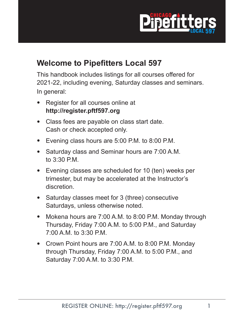

### **Welcome to Pipefitters Local 597**

This handbook includes listings for all courses offered for 2021-22, including evening, Saturday classes and seminars. In general:

- Register for all courses online at **http://register.pftf597.org**
- Class fees are payable on class start date. Cash or check accepted only.
- Evening class hours are 5:00 P.M. to 8:00 P.M.
- Saturday class and Seminar hours are 7:00 A.M. to 3:30 P.M.
- Evening classes are scheduled for 10 (ten) weeks per trimester, but may be accelerated at the Instructor's discretion.
- Saturday classes meet for 3 (three) consecutive Saturdays, unless otherwise noted.
- Mokena hours are 7:00 A.M. to 8:00 P.M. Monday through Thursday, Friday 7:00 A.M. to 5:00 P.M., and Saturday 7:00 A.M. to 3:30 P.M.
- Crown Point hours are 7:00 A.M. to 8:00 P.M. Monday through Thursday, Friday 7:00 A.M. to 5:00 P.M., and Saturday 7:00 A.M. to 3:30 P.M.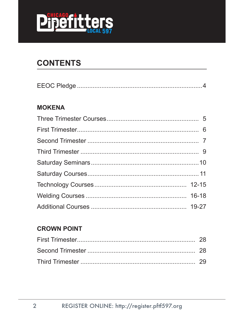

### **CONTENTS**

|--|--|

#### **MOKENA**

#### **CROWN POINT**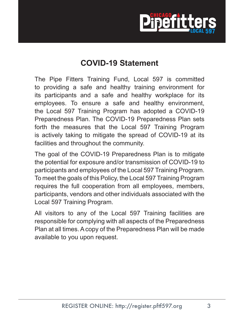

### **COVID-19 Statement**

The Pipe Fitters Training Fund, Local 597 is committed to providing a safe and healthy training environment for its participants and a safe and healthy workplace for its employees. To ensure a safe and healthy environment, the Local 597 Training Program has adopted a COVID-19 Preparedness Plan. The COVID-19 Preparedness Plan sets forth the measures that the Local 597 Training Program is actively taking to mitigate the spread of COVID-19 at its facilities and throughout the community.

The goal of the COVID-19 Preparedness Plan is to mitigate the potential for exposure and/or transmission of COVID-19 to participants and employees of the Local 597 Training Program. To meet the goals of this Policy, the Local 597 Training Program requires the full cooperation from all employees, members, participants, vendors and other individuals associated with the Local 597 Training Program.

All visitors to any of the Local 597 Training facilities are responsible for complying with all aspects of the Preparedness Plan at all times. A copy of the Preparedness Plan will be made available to you upon request.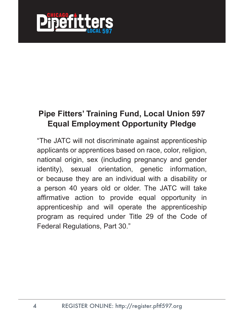

### **Pipe Fitters' Training Fund, Local Union 597 Equal Employment Opportunity Pledge**

"The JATC will not discriminate against apprenticeship applicants or apprentices based on race, color, religion, national origin, sex (including pregnancy and gender identity), sexual orientation, genetic information, or because they are an individual with a disability or a person 40 years old or older. The JATC will take affirmative action to provide equal opportunity in apprenticeship and will operate the apprenticeship program as required under Title 29 of the Code of Federal Regulations, Part 30."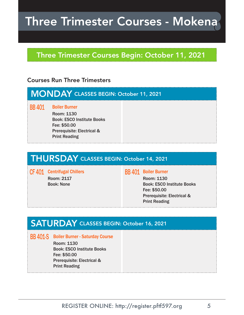## Three Trimester Courses - Mokena

#### Three Trimester Courses Begin: October 11, 2021

#### Courses Run Three Trimesters

### MONDAY CLASSES BEGIN: October 11, 2021 BB 401 Boiler Burner

Room: 1130 Book: ESCO Institute Books Fee: \$50.00 Prerequisite: Electrical & Print Reading

### THURSDAY CLASSES BEGIN: October 14, 2021

#### CF 401 Centrifugal Chillers

Room: 2117 Book: None

#### BB 401 Boiler Burner

Room: 1130 Book: ESCO Institute Books Fee: \$50.00 Prerequisite: Electrical & Print Reading

#### SATURDAY CLASSES BEGIN: October 16, 2021

#### BB 401-S Boiler Burner - Saturday Course

Room: 1130 Book: ESCO Institute Books Fee: \$50.00 Prerequisite: Electrical & Print Reading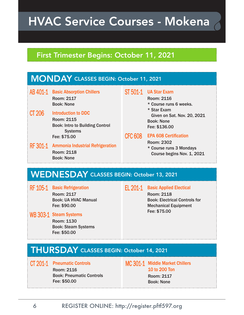## HVAC Service Courses - Mokena

#### First Trimester Begins: October 11, 2021



### WEDNESDAY CLASSES BEGIN: October 13, 2021

RF 105-1 Basic Refrigeration Room: 2117 Book: UA HVAC Manual Fee: \$90.00

#### WB 303-1 Steam Systems

Room: 1130 Book: Steam Systems Fee: \$50.00

#### EL 201-1 Basic Applied Electical

Room: 2118 Book: Electrical Controls for Mechanical Equipment Fee: \$75.00

### THURSDAY CLASSES BEGIN: October 14, 2021

CT 201-1 Pneumatic Controls

Room: 2116 Book: Pneumatic Controls Fee: \$50.00

MC 301-1 Middle Market Chillers 10 to 200 Ton Room: 2117 Book: None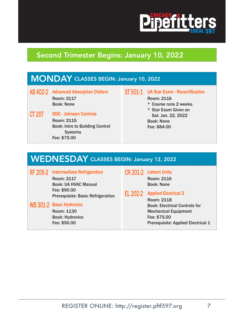

### Second Trimester Begins: January 10, 2022

| <b>MONDAY CLASSES BEGIN: January 10, 2022</b> |                                                                                                                                |          |                                                                                      |
|-----------------------------------------------|--------------------------------------------------------------------------------------------------------------------------------|----------|--------------------------------------------------------------------------------------|
|                                               | AB 402-2 Advanced Absorption Chillers<br><b>Room: 2117</b><br><b>Book: None</b>                                                | ST 501-1 | <b>UA Star Exam - Recertification</b><br><b>Room: 2116</b><br>* Course runs 2 weeks. |
| CT 207                                        | <b>DDC - Johnson Controls</b><br><b>Room: 2115</b><br><b>Book: Intro to Building Control</b><br><b>Systems</b><br>Fee: \$75.00 |          | * Star Exam Given on<br>Sat. Jan. 22, 2022<br><b>Book: None</b><br>Fee: \$84.00      |

### WEDNESDAY CLASSES BEGIN: January 12, 2022

| RF 205-2 Intermediate Refrigeration                      | CR 201-2 Liebert Units               |
|----------------------------------------------------------|--------------------------------------|
| Room: 2117                                               | <b>Room: 2116</b>                    |
| <b>Book: UA HVAC Manual</b>                              | <b>Book: None</b>                    |
| Fee: \$90.00<br><b>Prerequisite: Basic Refrigeration</b> | EL 202-2 Applied Electrical 2        |
|                                                          | <b>Room: 2118</b>                    |
| WB 301-2 Basic Hydronics                                 | <b>Book: Electrical Controls for</b> |
| Room: 1130                                               | <b>Mechanical Equipment</b>          |
| <b>Book: Hydronics</b>                                   | Fee: \$75.00                         |
| Fee: \$50.00                                             | Prerequisite: Applied Electrical 1   |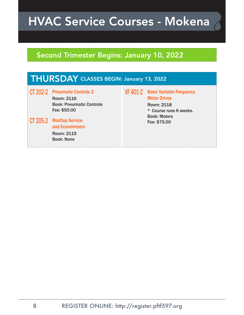## HVAC Service Courses - Mokena

### Second Trimester Begins: January 10, 2022

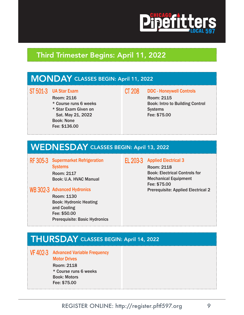

#### Third Trimester Begins: April 11, 2022

#### MONDAY CLASSES BEGIN: April 11, 2022

#### ST 501-3 UA Star Exam

Room: 2116

\* Course runs 6 weeks

\* Star Exam Given on Sat. May 21, 2022 Book: None Fee: \$136.00

#### CT 208 DDC - Honeywell Controls

Room: 2115 Book: Intro to Building Control **Systems** Fee: \$75.00

### WEDNESDAY CLASSES BEGIN: April 13, 2022

RF 305-3 Supermarket Refrigeration **Systems** 

> Room: 2117 Book: U.A. HVAC Manual

#### WB 302-3 Advanced Hydronics

Room: 1130 Book: Hydronic Heating and Cooling Fee: \$50.00 Prerequisite: Basic Hydronics

#### EL 203-3 Applied Electrical 3

Room: 2118 Book: Electrical Controls for Mechanical Equipment Fee: \$75.00 Prerequisite: Applied Electrical 2

#### THURSDAY CLASSES BEGIN: April 14, 2022

VF 402-3 Advanced Variable Frequency

Motor Drives

Room: 2118 \* Course runs 6 weeks Book: Motors Fee: \$75.00

REGISTER ONLINE: http://register.pftf597.org 9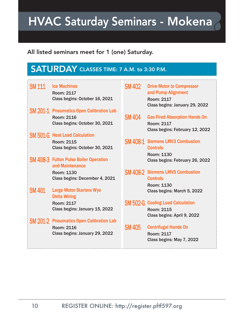## HVAC Saturday Seminars - Mokena

#### All listed seminars meet for 1 (one) Saturday.

### SATURDAY CLASSES TIME: 7 A.M. to 3:30 P.M.

| <b>SM 111</b> | <b>Ice Machines</b><br>Room: 2117<br>Class begins: October 16, 2021 | <b>SM 402</b> | <b>Drive Motor to Compressor</b><br>and Pump Alignment<br>Room: 2117<br>Class begins: January 29, 2022 |
|---------------|---------------------------------------------------------------------|---------------|--------------------------------------------------------------------------------------------------------|
|               | <b>SM 201-1 Pneumatics Open Calibration Lab</b>                     |               |                                                                                                        |
|               | Room: 2116                                                          | <b>SM 404</b> | <b>Gas Fired Absorption Hands On</b>                                                                   |
|               | Class begins: October 30, 2021                                      |               | Room: 2117<br>Class begins: February 12, 2022                                                          |
|               | <b>SM 501-G</b> Heat Load Calculation                               |               |                                                                                                        |
|               | <b>Room: 2115</b>                                                   |               | <b>SM 408-1 Siemens LMV3 Combustion</b>                                                                |
|               | Class begins: October 30, 2021                                      |               | <b>Controls</b>                                                                                        |
|               |                                                                     |               | Room: 1130                                                                                             |
|               | <b>SM 408-3</b> Fulton Pulse Boiler Operation<br>and Maintenance    |               | Class begins: February 26, 2022                                                                        |
|               | Room: 1130                                                          |               | <b>SM 408-2 Siemens LMV5 Combustion</b>                                                                |
|               | Class begins: December 4, 2021                                      |               | <b>Controls</b>                                                                                        |
|               |                                                                     |               | Room: 1130                                                                                             |
| <b>SM 401</b> | <b>Large Motor Starters Wye</b>                                     |               | Class begins: March 5, 2022                                                                            |
|               | <b>Delta Wiring</b>                                                 |               |                                                                                                        |
|               | Room: 2117                                                          |               | <b>SM 502-G</b> Cooling Load Calculation                                                               |
|               | Class begins: January 15, 2022                                      |               | <b>Room: 2115</b>                                                                                      |
|               |                                                                     |               | Class begins: April 9, 2022                                                                            |
| SM 201-2      | <b>Pneumatics Open Calibration Lab</b>                              |               |                                                                                                        |
|               | Room: 2116                                                          | <b>SM 405</b> | <b>Centrifugal Hands On</b>                                                                            |
|               | Class begins: January 29, 2022                                      |               | Room: 2117                                                                                             |
|               |                                                                     |               | Class begins: May 7, 2022                                                                              |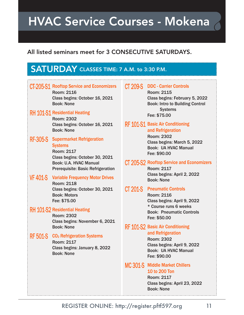## HVAC Service Courses - Mokena

#### All listed seminars meet for 3 CONSECUTIVE SATURDAYS.

### SATURDAY CLASSES TIME: 7 A.M. to 3:30 P.M.

|                 | CT-205-S1 Rooftop Service and Economizers<br><b>Room: 2116</b><br>Class begins: October 16, 2021<br><b>Book: None</b><br><b>RH 101-S1 Residential Heating</b> | <b>CT 209-S</b> | <b>DDC - Carrier Controls</b><br><b>Room: 2115</b><br>Class begins: February 5, 2022<br><b>Book: Intro to Building Control</b><br><b>Systems</b><br>Fee: \$75.00 |
|-----------------|---------------------------------------------------------------------------------------------------------------------------------------------------------------|-----------------|------------------------------------------------------------------------------------------------------------------------------------------------------------------|
|                 | <b>Room: 2302</b><br>Class begins: October 16, 2021<br><b>Book: None</b>                                                                                      |                 | <b>RF 101-S1 Basic Air Conditioning</b><br>and Refrigeration                                                                                                     |
| <b>RF-305-S</b> | <b>Supermarket Refrigeration</b><br><b>Systems</b><br>Room: 2117<br>Class begins: October 30, 2021                                                            |                 | <b>Room: 2302</b><br>Class begins: March 5, 2022<br><b>Book: UA HVAC Manual</b><br>Fee: \$90.00                                                                  |
|                 | Book: U.A. HVAC Manual<br><b>Prerequisite: Basic Refrigeration</b>                                                                                            |                 | CT 205-S2 Rooftop Service and Economizers<br>Room: 2117                                                                                                          |
| <b>VF 401-S</b> | <b>Variable Frequency Motor Drives</b><br><b>Room: 2118</b>                                                                                                   |                 | Class begins: April 2, 2022<br><b>Book: None</b>                                                                                                                 |
|                 | Class begins: October 30, 2021<br><b>Book: Motors</b><br>Fee: \$75.00                                                                                         | <b>CT 201-S</b> | <b>Pneumatic Controls</b><br><b>Room: 2116</b><br>Class begins: April 9, 2022                                                                                    |
|                 | <b>RH 101-S2 Residential Heating</b><br>Room: 2302<br>Class begins: November 6, 2021                                                                          |                 | * Course runs 6 weeks<br><b>Book: Pneumatic Controls</b><br>Fee: \$50.00                                                                                         |
|                 | <b>Book: None</b>                                                                                                                                             |                 | RF 101-S2 Basic Air Conditioning                                                                                                                                 |
| <b>RF 501-S</b> | CO <sub>2</sub> Refrigeration Systems<br>Room: 2117<br>Class begins: January 8, 2022<br><b>Book: None</b>                                                     |                 | and Refrigeration<br><b>Room: 2302</b><br>Class begins: April 9, 2022<br><b>Book: UA HVAC Manual</b><br>Fee: \$90.00                                             |
|                 |                                                                                                                                                               |                 | MC 301-S Middle Market Chillers<br>10 to 200 Ton<br><b>Room: 2117</b><br>Class begins: April 23, 2022<br><b>Book: None</b>                                       |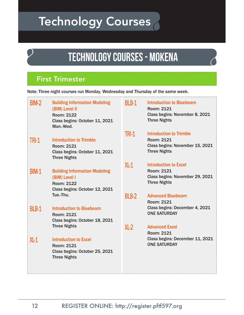## Technology Courses

## **TECHNOLOGY COURSES - MOKENA**

### First Trimester

Note: Three night courses run Monday, Wednesday and Thursday of the same week.

| <b>BIM-2</b> | <b>Building Information Modeling</b><br>(BIM) Level II<br><b>Room: 2122</b><br>Class begins: October 11, 2021<br>Mon.-Wed. | BLB-1        | <b>Introduction to Bluebeam</b><br>Room: 2121<br>Class begins: November 8, 2021<br><b>Three Nights</b>      |
|--------------|----------------------------------------------------------------------------------------------------------------------------|--------------|-------------------------------------------------------------------------------------------------------------|
| <b>TRI-1</b> | <b>Introduction to Trimble</b><br>Room: 2121<br>Class begins: October 11, 2021<br><b>Three Nights</b>                      | <b>TRI-1</b> | <b>Introduction to Trimble</b><br>Room: 2121<br>Class begins: November 15, 2021<br><b>Three Nights</b>      |
| <b>BIM-1</b> | <b>Building Information Modeling</b><br>(BIM) Level I<br>Room: 2122<br>Class begins: October 12, 2021                      | $XL-1$       | <b>Introduction to Excel</b><br><b>Room: 2121</b><br>Class begins: November 29, 2021<br><b>Three Nights</b> |
|              | Tue.-Thu.                                                                                                                  | BLB-2        | <b>Advanced Bluebeam</b><br>Room: 2121                                                                      |
| <b>BLB-1</b> | <b>Introduction to Bluebeam</b><br>Room: 2121<br>Class begins: October 18, 2021                                            |              | Class begins: December 4, 2021<br><b>ONE SATURDAY</b>                                                       |
|              | <b>Three Nights</b>                                                                                                        | XL2          | <b>Advanced Excel</b><br><b>Room: 2121</b>                                                                  |
| $XL-1$       | <b>Introduction to Excel</b><br>Room: 2121<br>Class begins: October 25, 2021<br><b>Three Nights</b>                        |              | Class begins: December 11, 2021<br><b>ONE SATURDAY</b>                                                      |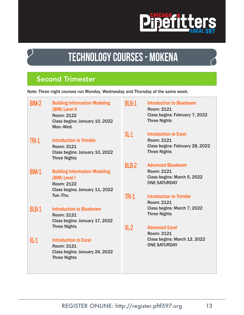

### **TECHNOLOGY COURSES - MOKENA**

### Second Trimester

| Note: Three night courses run Monday, Wednesday and Thursday of the same week. |                                                                                                                            |              |                                                                                                               |
|--------------------------------------------------------------------------------|----------------------------------------------------------------------------------------------------------------------------|--------------|---------------------------------------------------------------------------------------------------------------|
| <b>BIM-2</b>                                                                   | <b>Building Information Modeling</b><br>(BIM) Level II<br><b>Room: 2122</b><br>Class begins: January 10, 2022<br>Mon.-Wed. | BLB-1        | <b>Introduction to Bluebeam</b><br><b>Room: 2121</b><br>Class begins: February 7, 2022<br><b>Three Nights</b> |
| <b>TRI-1</b>                                                                   | <b>Introduction to Trimble</b><br>Room: 2121<br>Class begins: January 10, 2022<br><b>Three Nights</b>                      | $XL-1$       | <b>Introduction to Excel</b><br><b>Room: 2121</b><br>Class begins: February 28, 2022<br><b>Three Nights</b>   |
| <b>BIM-1</b>                                                                   | <b>Building Information Modeling</b><br>(BIM) Level I<br><b>Room: 2122</b><br>Class begins: January 11, 2022               | <b>BLB-2</b> | <b>Advanced Bluebeam</b><br><b>Room: 2121</b><br>Class begins: March 5, 2022<br><b>ONE SATURDAY</b>           |
| <b>BLB-1</b>                                                                   | Tue.-Thu.<br><b>Introduction to Bluebeam</b><br><b>Room: 2121</b><br>Class begins: January 17, 2022<br><b>Three Nights</b> | <b>TRI-1</b> | <b>Introduction to Trimble</b><br>Room: 2121<br>Class begins: March 7, 2022<br><b>Three Nights</b>            |
| $XL-1$                                                                         | <b>Introduction to Excel</b><br><b>Room: 2121</b><br>Class begins: January 24, 2022<br><b>Three Nights</b>                 | $XL-2$       | <b>Advanced Excel</b><br><b>Room: 2121</b><br>Class begins: March 12, 2022<br><b>ONE SATURDAY</b>             |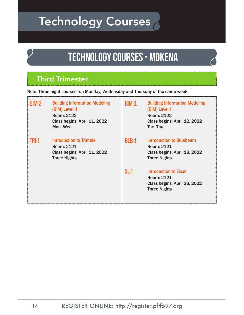## Technology Courses

## **TECHNOLOGY COURSES - MOKENA**

### Third Trimester

Note: Three night courses run Monday, Wednesday and Thursday of the same week.

| <b>BIM-2</b> | <b>Building Information Modeling</b><br>(BIM) Level II<br>Room: 2122<br>Class begins: April 11, 2022<br>Mon.-Wed. | <b>BIM-1</b> | <b>Building Information Modeling</b><br>(BIM) Level I<br><b>Room: 2122</b><br>Class begins: April 12, 2022<br>Tue.-Thu. |
|--------------|-------------------------------------------------------------------------------------------------------------------|--------------|-------------------------------------------------------------------------------------------------------------------------|
| <b>TRI-1</b> | Introduction to Trimble<br>Room: 2121<br>Class begins: April 11, 2022<br><b>Three Nights</b>                      | <b>BLB-1</b> | <b>Introduction to Bluebeam</b><br><b>Room: 2121</b><br>Class begins: April 18, 2022<br><b>Three Nights</b>             |
|              |                                                                                                                   | $XL-1$       | <b>Introduction to Excel</b><br>Room: 2121<br>Class begins: April 28, 2022<br><b>Three Nights</b>                       |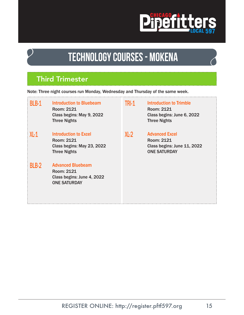

## **TECHNOLOGY COURSES - MOKENA**

### Third Trimester

Note: Three night courses run Monday, Wednesday and Thursday of the same week.

| BLB-1        | <b>Introduction to Bluebeam</b><br>Room: 2121<br>Class begins: May 9, 2022<br><b>Three Nights</b> | <b>TRI-1</b> | <b>Introduction to Trimble</b><br>Room: 2121<br>Class begins: June 6, 2022<br><b>Three Nights</b> |
|--------------|---------------------------------------------------------------------------------------------------|--------------|---------------------------------------------------------------------------------------------------|
| XL1          | <b>Introduction to Excel</b><br>Room: 2121<br>Class begins: May 23, 2022<br><b>Three Nights</b>   | $XL-2$       | <b>Advanced Excel</b><br>Room: 2121<br>Class begins: June 11, 2022<br><b>ONE SATURDAY</b>         |
| <b>BLB-2</b> | <b>Advanced Bluebeam</b><br>Room: 2121<br>Class begins: June 4, 2022<br><b>ONE SATURDAY</b>       |              |                                                                                                   |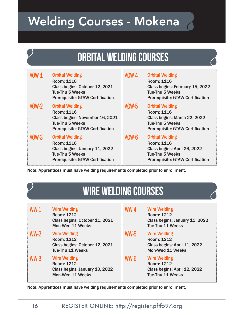## Welding Courses - Mokena

## **orbital welding courseS**

| AOW-1        | <b>Orbital Welding</b><br><b>Room: 1116</b><br>Class begins: October 12, 2021<br>Tue-Thu 5 Weeks<br><b>Prerequisite: GTAW Certification</b> | AOW-4        | <b>Orbital Welding</b><br><b>Room: 1116</b><br>Class begins: February 15, 2022<br>Tue-Thu 5 Weeks<br><b>Prerequisite: GTAW Certification</b> |
|--------------|---------------------------------------------------------------------------------------------------------------------------------------------|--------------|----------------------------------------------------------------------------------------------------------------------------------------------|
| <b>AOW-2</b> | <b>Orbital Welding</b><br>Room: 1116<br>Class begins: November 16, 2021<br>Tue-Thu 5 Weeks<br><b>Prerequisite: GTAW Certification</b>       | <b>AOW-5</b> | <b>Orbital Welding</b><br>Room: 1116<br>Class begins: March 22, 2022<br>Tue-Thu 5 Weeks<br><b>Prerequisite: GTAW Certification</b>           |
| AOW-3        | <b>Orbital Welding</b><br>Room: 1116<br>Class begins: January 11, 2022<br><b>Tue-Thu 5 Weeks</b><br><b>Prerequisite: GTAW Certification</b> | AOW-6        | <b>Orbital Welding</b><br><b>Room: 1116</b><br>Class begins: April 26, 2022<br>Tue-Thu 5 Weeks<br><b>Prerequisite: GTAW Certification</b>    |

Note: Apprentices must have welding requirements completed prior to enrollment.

### **wire welding COURSES**

| $WW-1$ | <b>Wire Welding</b><br>Room: 1212<br>Class begins: October 11, 2021<br><b>Mon-Wed 11 Weeks</b> | WW-4        | <b>Wire Welding</b><br>Room: 1212<br>Class begins: January 11, 2022<br>Tue-Thu 11 Weeks      |
|--------|------------------------------------------------------------------------------------------------|-------------|----------------------------------------------------------------------------------------------|
| $WW-2$ | <b>Wire Welding</b><br>Room: 1212<br>Class begins: October 12, 2021<br>Tue-Thu 11 Weeks        | <b>WW-5</b> | <b>Wire Welding</b><br>Room: 1212<br>Class begins: April 11, 2022<br><b>Mon-Wed 11 Weeks</b> |
| $WW-3$ | <b>Wire Welding</b><br>Room: 1212<br>Class begins: January 10, 2022<br><b>Mon-Wed 11 Weeks</b> | $WW-6$      | <b>Wire Welding</b><br>Room: 1212<br>Class begins: April 12, 2022<br><b>Tue-Thu 11 Weeks</b> |

Note: Apprentices must have welding requirements completed prior to enrollment.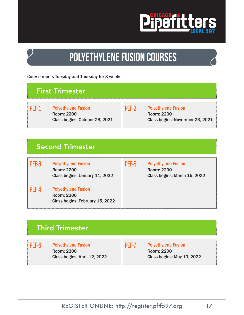

## **polyETHYLENE fusion courseS**

Course meets Tuesday and Thursday for 3 weeks.

#### First Trimester

PEF-1 Polyethylene Fusion Room: 2200 Class begins: October 26, 2021



#### PEF-2 Polyethylene Fusion Room: 2200 Class begins: November 23, 2021

### Second Trimester

PEF-3 Polyethylene Fusion Room: 2200 Class begins: January 11, 2022

PEF-4 Polyethylene Fusion Room: 2200 Class begins: February 15, 2022

PEF-5 Polyethylene Fusion Room: 2200 Class begins: March 15, 2022

### Third Trimester

PEF-6 Polyethylene Fusion Room: 2200 Class begins: April 12, 2022

PEF-7 Polyethylene Fusion Room: 2200 Class begins: May 10, 2022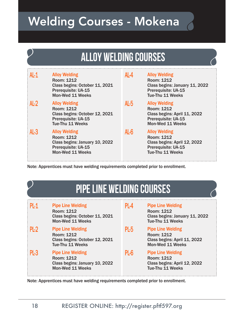## Welding Courses - Mokena

## **alloy welding courses**

| $AL-1$ | <b>Alloy Welding</b><br><b>Room: 1212</b><br>Class begins: October 11, 2021<br>Prerequisite: UA-15<br><b>Mon-Wed 11 Weeks</b> | $AL-4$ | <b>Alloy Welding</b><br>Room: 1212<br>Class begins: January 11, 2022<br>Prerequisite: UA-15<br>Tue-Thu 11 Weeks      |
|--------|-------------------------------------------------------------------------------------------------------------------------------|--------|----------------------------------------------------------------------------------------------------------------------|
| $AL-2$ | <b>Alloy Welding</b><br>Room: 1212<br>Class begins: October 12, 2021<br>Prerequisite: UA-15<br>Tue-Thu 11 Weeks               | $AL-5$ | <b>Alloy Welding</b><br>Room: 1212<br>Class begins: April 11, 2022<br>Prerequisite: UA-15<br><b>Mon-Wed 11 Weeks</b> |
| $AL-3$ | <b>Alloy Welding</b><br>Room: 1212<br>Class begins: January 10, 2022<br>Prerequisite: UA-15<br><b>Mon-Wed 11 Weeks</b>        | $AL-6$ | <b>Alloy Welding</b><br>Room: 1212<br>Class begins: April 12, 2022<br>Prerequisite: UA-15<br>Tue-Thu 11 Weeks        |

Note: Apprentices must have welding requirements completed prior to enrollment.

| <b>PIPE LINE WELDING COURSES</b> |
|----------------------------------|
|----------------------------------|

| $PI-1$ | <b>Pipe Line Welding</b><br>Room: 1212<br>Class begins: October 11, 2021<br><b>Mon-Wed 11 Weeks</b> | PL-4   | <b>Pipe Line Welding</b><br>Room: 1212<br>Class begins: January 11, 2022<br>Tue-Thu 11 Weeks             |
|--------|-----------------------------------------------------------------------------------------------------|--------|----------------------------------------------------------------------------------------------------------|
| $PI-2$ | <b>Pipe Line Welding</b><br>Room: 1212<br>Class begins: October 12, 2021<br>Tue-Thu 11 Weeks        | $PL-5$ | <b>Pipe Line Welding</b><br><b>Room: 1212</b><br>Class begins: April 11, 2022<br><b>Mon-Wed 11 Weeks</b> |
| PL3    | <b>Pipe Line Welding</b><br>Room: 1212<br>Class begins: January 10, 2022<br><b>Mon-Wed 11 Weeks</b> | PL-6   | <b>Pipe Line Welding</b><br>Room: 1212<br>Class begins: April 12, 2022<br>Tue-Thu 11 Weeks               |

Note: Apprentices must have welding requirements completed prior to enrollment.

**Programme**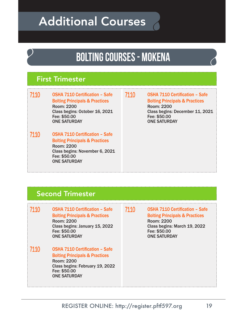## Additional Courses

### **bolting COURSES - MOKENA**

#### First Trimester

7110 OSHA 7110 Certification - Safe Bolting Principals & Practices Room: 2200 Class begins: October 16, 2021 Fee: \$50.00 ONE SATURDAY

7110 OSHA 7110 Certification - Safe Bolting Principals & Practices Room: 2200 Class begins: November 6, 2021 Fee: \$50.00 ONE SATURDAY

7110 OSHA 7110 Certification - Safe Bolting Principals & Practices Room: 2200 Class begins: December 11, 2021 Fee: \$50.00 ONE SATURDAY

#### Second Trimester

7110 OSHA 7110 Certification - Safe Bolting Principals & Practices Room: 2200 Class begins: January 15, 2022 Fee: \$50.00 ONE SATURDAY 7110 OSHA 7110 Certification - Safe Bolting Principals & Practices Room: 2200 Class begins: February 19, 2022 Fee: \$50.00 ONE SATURDAY 7110 OSHA 7110 Certifcation – Safe Bolting Principals & Practices Room: 2200 Class begins: March 19, 2022 Fee: \$50.00 ONE SATURDAY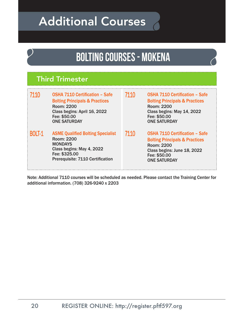## Additional Courses

### **bolting COURSES - MOKENA**

### Third Trimester

| 7110          | <b>OSHA 7110 Certification - Safe</b><br><b>Bolting Principals &amp; Practices</b><br><b>Room: 2200</b><br>Class begins: April 16, 2022<br>Fee: \$50.00<br><b>ONE SATURDAY</b> | 7110 | <b>OSHA 7110 Certification - Safe</b><br><b>Bolting Principals &amp; Practices</b><br><b>Room: 2200</b><br>Class begins: May 14, 2022<br>Fee: \$50.00<br><b>ONE SATURDAY</b>  |
|---------------|--------------------------------------------------------------------------------------------------------------------------------------------------------------------------------|------|-------------------------------------------------------------------------------------------------------------------------------------------------------------------------------|
| <b>BOLT-1</b> | <b>ASME Qualified Bolting Specialist</b><br><b>Room: 2200</b><br><b>MONDAYS</b><br>Class begins: May 4, 2022<br>Fee: \$325.00<br>Prerequisite: 7110 Certification              | 7110 | <b>OSHA 7110 Certification - Safe</b><br><b>Bolting Principals &amp; Practices</b><br><b>Room: 2200</b><br>Class begins: June 18, 2022<br>Fee: \$50.00<br><b>ONE SATURDAY</b> |

Note: Additional 7110 courses will be scheduled as needed. Please contact the Training Center for additional information. (708) 326-9240 x 2203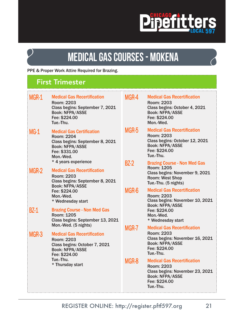### **Pipefitter** S

## **medical gas COURSES - MOKENA**

PPE & Proper Work Attire Required for Brazing.

### First Trimester

| MGR-1  | <b>Medical Gas Recertification</b><br>Room: 2203<br>Class begins: September 7, 2021<br><b>Book: NFPA/ASSE</b><br>Fee: \$224.00<br>Tue.-Thu.      | MGR-4       | <b>Medical Gas Recertification</b><br><b>Room: 2203</b><br>Class begins: October 4, 2021<br><b>Book: NFPA/ASSE</b><br>Fee: \$224.00<br>Mon.-Wed.   |
|--------|--------------------------------------------------------------------------------------------------------------------------------------------------|-------------|----------------------------------------------------------------------------------------------------------------------------------------------------|
| $MG-1$ | <b>Medical Gas Certification</b><br><b>Room: 2204</b><br>Class begins: September 8, 2021<br><b>Book: NFPA/ASSE</b><br>Fee: \$331.00<br>Mon.-Wed. | MGR-5       | <b>Medical Gas Recertification</b><br><b>Room: 2203</b><br>Class begins: October 12, 2021<br><b>Book: NFPA/ASSE</b><br>Fee: \$224.00<br>Tue-Thu.   |
| MGR-2  | * 4 years experience<br><b>Medical Gas Recertification</b><br>Room: 2203<br>Class begins: September 8, 2021                                      | <b>BZ-2</b> | <b>Brazing Course - Non Med Gas</b><br><b>Room: 1205</b><br>Class begins: November 9, 2021<br><b>Room: West Shop</b><br>Tue.-Thu. (5 nights)       |
| $BZ-1$ | <b>Book: NFPA/ASSE</b><br>Fee: \$224.00<br>Mon.-Wed.<br>* Wednesday start<br><b>Brazing Course - Non Med Gas</b>                                 | MGR-6       | <b>Medical Gas Recertification</b><br><b>Room: 2203</b><br>Class begins: November 10, 2021<br><b>Book: NFPA/ASSE</b><br>Fee: \$224.00              |
|        | <b>Room: 1205</b><br>Class begins: September 13, 2021<br>Mon.-Wed. (5 nights)                                                                    |             | Mon.-Wed.<br>* Wednesday start                                                                                                                     |
| MGR-3  | <b>Medical Gas Recertification</b><br><b>Room: 2203</b><br>Class begins: October 7, 2021<br><b>Book: NFPA/ASSE</b><br>Fee: \$224.00              | MGR-7       | <b>Medical Gas Recertification</b><br><b>Room: 2203</b><br>Class begins: November 16, 2021<br><b>Book: NFPA/ASSE</b><br>Fee: \$224.00<br>Tue.-Thu. |
|        | Tue.-Thu.<br>* Thursday start                                                                                                                    | MGR-8       | <b>Medical Gas Recertification</b><br><b>Room: 2203</b><br>Class begins: November 23, 2021<br><b>Book: NFPA/ASSE</b><br>Fee: \$224.00<br>Tue.-Thu. |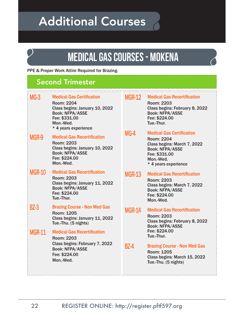## Additional Courses

### **medical gas COURSES - MOKENA**

PPE & Proper Work Attire Required for Brazing.

#### Second Trimester

| $MG-3$        | <b>Medical Gas Certification</b><br><b>Room: 2204</b><br>Class begins: January 10, 2022<br><b>Book: NFPA/ASSE</b><br>Fee: \$331.00<br>Mon.-Wed.<br>* 4 years experience | <b>MGR-12</b> | <b>Medical Gas Recertification</b><br>Room: 2203<br>Class begins: February 8, 2022<br><b>Book: NFPA/ASSE</b><br>Fee: \$224.00<br>Tue.-Thur.                          |
|---------------|-------------------------------------------------------------------------------------------------------------------------------------------------------------------------|---------------|----------------------------------------------------------------------------------------------------------------------------------------------------------------------|
| MGR-9         | <b>Medical Gas Recertification</b><br>Room: 2203<br>Class begins: January 10, 2022<br><b>Book: NFPA/ASSE</b><br>Fee: \$224.00<br>Mon.-Wed.                              | $MG-4$        | <b>Medical Gas Certification</b><br><b>Room: 2204</b><br>Class begins: March 7, 2022<br><b>Book: NFPA/ASSE</b><br>Fee: \$331.00<br>Mon.-Wed.<br>* 4 years experience |
| <b>MGR-10</b> | <b>Medical Gas Recertification</b><br><b>Room: 2203</b><br>Class begins: January 11, 2022<br><b>Book: NFPA/ASSE</b><br>Fee: \$224.00<br>Tue.-Thur.                      | <b>MGR-13</b> | <b>Medical Gas Recertification</b><br><b>Room: 2203</b><br>Class begins: March 7, 2022<br><b>Book: NFPA/ASSE</b><br>Fee: \$224.00<br>Mon.-Wed.                       |
| <b>BZ-3</b>   | <b>Brazing Course - Non Med Gas</b><br><b>Room: 1205</b><br>Class begins: January 11, 2022<br>Tue.-Thu. (5 nights)                                                      | <b>MGR-14</b> | <b>Medical Gas Recertification</b><br><b>Room: 2203</b><br>Class begins: February 8, 2022<br><b>Book: NFPA/ASSE</b>                                                  |
| <b>MGR-11</b> | <b>Medical Gas Recertification</b><br><b>Room: 2203</b><br>Class begins: February 7, 2022<br><b>Book: NFPA/ASSE</b><br>Fee: \$224.00<br>Mon.-Wed.                       | $BZ-4$        | Fee: \$224.00<br>Tue.-Thur.<br><b>Brazing Course - Non Med Gas</b><br>Room: 1205<br>Class begins: March 15, 2022<br>Tue.-Thu. (5 nights)                             |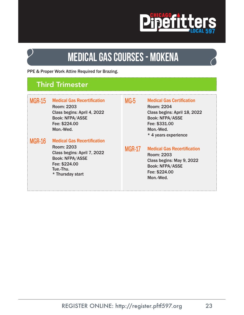

## **medical gas COURSES - MOKENA**

PPE & Proper Work Attire Required for Brazing.

#### Third Trimester

| <b>MGR-15</b> | <b>Medical Gas Recertification</b><br>Room: 2203<br>Class begins: April 4, 2022<br><b>Book: NFPA/ASSE</b><br>Fee: \$224.00<br>Mon.-Wed.                     | MG-5          | <b>Medical Gas Certification</b><br>Room: 2204<br>Class begins: April 18, 2022<br><b>Book: NFPA/ASSE</b><br>Fee: \$331.00<br>Mon.-Wed.<br>* 4 years experience |
|---------------|-------------------------------------------------------------------------------------------------------------------------------------------------------------|---------------|----------------------------------------------------------------------------------------------------------------------------------------------------------------|
| <b>MGR-16</b> | <b>Medical Gas Recertification</b><br>Room: 2203<br>Class begins: April 7, 2022<br><b>Book: NFPA/ASSE</b><br>Fee: \$224.00<br>Tue.-Thu.<br>* Thursday start | <b>MGR-17</b> | <b>Medical Gas Recertification</b><br>Room: 2203<br>Class begins: May 9, 2022<br><b>Book: NFPA/ASSE</b><br>Fee: \$224.00<br>Mon.-Wed.                          |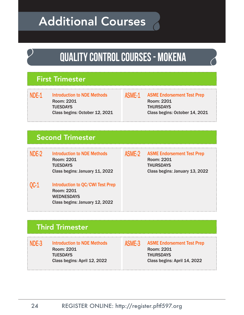## Additional Courses

## **quality control COURSES - MOKENA**

#### First Trimester

NDE-1 Introduction to NDE Methods Room: 2201 **TUESDAYS** Class begins: October 12, 2021 ASME-1 ASME Endorsement Test Prep Room: 2201 **THURSDAYS** Class begins: October 14, 2021

### Second Trimester

NDE-2 Introduction to NDE Methods Room: 2201 **TUESDAYS** Class begins: January 11, 2022

QC-1 Introduction to QC/CWI Test Prep Room: 2201 WEDNESDAYS Class begins: January 12, 2022

ASME-2 ASME Endorsement Test Prep Room: 2201 **THURSDAYS** Class begins: January 13, 2022

### Third Trimester

NDE-3 Introduction to NDE Methods Room: 2201 **TUESDAYS** Class begins: April 12, 2022

ASME-3 ASME Endorsement Test Prep Room: 2201 **THURSDAYS** Class begins: April 14, 2022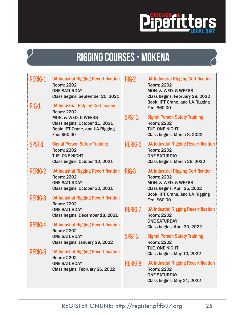

## **rigging COURSES - MOKENA**

| Rerig-1<br>RIG-1 | <b>UA Industial Rigging Recertification</b><br><b>Room: 2202</b><br><b>ONE SATURDAY</b><br>Class begins: September 25, 2021<br><b>UA Industrial Rigging Certification</b> | $RIG-2$        | <b>UA Industrial Rigging Certification</b><br><b>Room: 2202</b><br><b>MON. &amp; WED. 5 WEEKS</b><br>Class begins: February 28, 2022<br>Book: IPT Crane, and UA Rigging<br>Fee: \$60.00 |
|------------------|---------------------------------------------------------------------------------------------------------------------------------------------------------------------------|----------------|-----------------------------------------------------------------------------------------------------------------------------------------------------------------------------------------|
|                  | <b>Room: 2202</b><br>MON. & WED. 5 WEEKS<br>Class begins: October 11, 2021<br>Book: IPT Crane, and UA Rigging<br>Fee: \$60.00                                             | SPST-2         | <b>Signal Person Safety Training</b><br><b>Room: 2202</b><br><b>TUE. ONE NIGHT</b><br>Class begins: March 8, 2022                                                                       |
| SPST-1           | <b>Signal Person Safety Training</b><br><b>Room: 2202</b><br><b>TUE. ONE NIGHT</b><br>Class begins: October 12, 2021                                                      | <b>RERIG-6</b> | <b>UA Industial Rigging Recertification</b><br><b>Room: 2202</b><br><b>ONE SATURDAY</b><br>Class begins: March 26, 2022                                                                 |
| <b>RERIG-2</b>   | <b>UA Industial Rigging Recertification</b><br><b>Room: 2202</b><br><b>ONE SATURDAY</b><br>Class begins: October 30, 2021                                                 | $RIG-3$        | <b>UA Industrial Rigging Certification</b><br><b>Room: 2202</b><br>MON. & WED. 5 WEEKS<br>Class begins: April 25, 2022<br>Book: IPT Crane, and UA Rigging                               |
| <b>RERIG-3</b>   | <b>UA Industial Rigging Recertification</b><br><b>Room: 2202</b>                                                                                                          |                | Fee: \$60.00                                                                                                                                                                            |
|                  | <b>ONE SATURDAY</b><br>Class begins: December 18, 2021                                                                                                                    | <b>RERIG-7</b> | <b>UA Industial Rigging Recertification</b><br><b>Room: 2202</b><br><b>ONE SATURDAY</b>                                                                                                 |
| Rerig-4          | <b>UA Industial Rigging Recertification</b><br><b>Room: 2202</b>                                                                                                          |                | Class begins: April 30, 2022                                                                                                                                                            |
|                  | <b>ONE SATURDAY</b><br>Class begins: January 29, 2022                                                                                                                     | SPST-3         | <b>Signal Person Safety Training</b><br><b>Room: 2202</b>                                                                                                                               |
| Rerig-5          | <b>UA Industial Rigging Recertification</b><br><b>Room: 2202</b>                                                                                                          |                | <b>TUE. ONE NIGHT</b><br>Class begins: May 10, 2022                                                                                                                                     |
|                  | <b>ONE SATURDAY</b><br>Class begins: February 26, 2022                                                                                                                    | <b>RERIG-8</b> | <b>UA Industial Rigging Recertification</b><br><b>Room: 2202</b><br><b>ONE SATURDAY</b><br>Class begins: May 21, 2022                                                                   |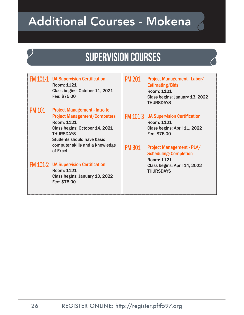## Additional Courses - Mokena

### **supervision COURSES**

#### FM 101-1 UA Supervision Certification Room: 1121 Class begins: October 11, 2021 Fee: \$75.00

#### PM 101 Project Management - Intro to Project Management/Computers Room: 1121 Class begins: October 14, 2021 **THURSDAYS** Students should have basic computer skills and a knowledge of Excel

#### FM 101-2 UA Supervision Certification Room: 1121

Class begins: January 10, 2022 Fee: \$75.00

#### PM 201 Project Management - Labor/ Estimating/Bids Room: 1121 Class begins: January 13, 2022 **THURSDAYS**

#### FM 101-3 UA Supervision Certification Room: 1121 Class begins: April 11, 2022 Fee: \$75.00

PM 301 Project Management - PLA/ Scheduling/Completion Room: 1121 Class begins: April 14, 2022 **THURSDAYS**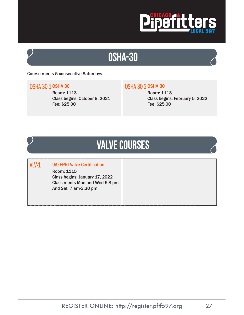

### **osha-30**

#### Course meets 5 consecutive Saturdays

#### OSHA-30-1 OSHA 30

Room: 1113 Class begins: October 9, 2021 Fee: \$25.00

#### OSHA-30-2 OSHA 30

Room: 1113 Class begins: February 5, 2022 Fee: \$25.00

### **valve COURSES**

#### VLV-1 UA/EPRI Valve Certification

Room: 1115 Class begins: January 17, 2022 Class meets Mon and Wed 5-8 pm And Sat. 7 am-3:30 pm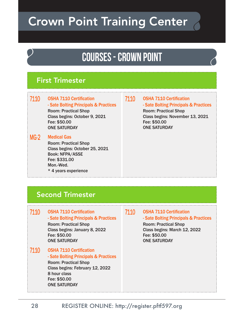## Crown Point Training Center

### **COURSES - crown point**

#### First Trimester

#### 7110 OSHA 7110 Certification - Sate Bolting Principals & Practices Room: Practical Shop Class begins: October 9, 2021 Fee: \$50.00 ONE SATURDAY

#### MG-2 Medical Gas

Room: Practical Shop Class begins: October 25, 2021 Book: NFPA/ASSE Fee: \$331.00 Mon.-Wed. \* 4 years experience

7110 OSHA 7110 Certifcation - Sate Bolting Principals & Practices Room: Practical Shop Class begins: November 13, 2021 Fee: \$50.00 ONE SATURDAY

#### Second Trimester

7110 OSHA 7110 Certification - Sate Bolting Principals & Practices Room: Practical Shop Class begins: January 8, 2022

Fee: \$50.00 ONE SATURDAY

7110 OSHA 7110 Certification - Sate Bolting Principals & Practices Room: Practical Shop Class begins: February 12, 2022 8 hour class Fee: \$50.00 ONE SATURDAY

#### 7110 OSHA 7110 Certification

- Sate Bolting Principals & Practices

Room: Practical Shop Class begins: March 12, 2022 Fee: \$50.00 ONE SATURDAY

REGISTER ONLINE: http://register.pftf597.org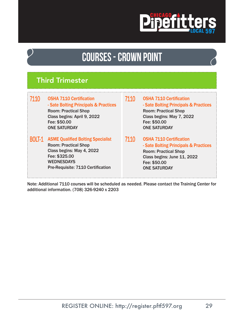

### **COURSES - crown point**

#### Third Trimester

| 7110          | <b>OSHA 7110 Certification</b><br>- Sate Bolting Principals & Practices<br><b>Room: Practical Shop</b><br>Class begins: April 9, 2022<br>Fee: \$50.00<br><b>ONE SATURDAY</b> |
|---------------|------------------------------------------------------------------------------------------------------------------------------------------------------------------------------|
| <b>BOLT-1</b> | <b>ASME Qualified Bolting Specialist</b><br><b>Room: Practical Shop</b>                                                                                                      |

Class begins: May 4, 2022 Fee: \$325.00 WEDNESDAYS Pre-Requisite: 7110 Certification

- 7110 OSHA 7110 Certification - Sate Bolting Principals & Practices Room: Practical Shop Class begins: May 7, 2022 Fee: \$50.00 ONE SATURDAY
- 7110 OSHA 7110 Certification - Sate Bolting Principals & Practices Room: Practical Shop Class begins: June 11, 2022 Fee: \$50.00 ONE SATURDAY

Note: Additional 7110 courses will be scheduled as needed. Please contact the Training Center for additional information. (708) 326-9240 x 2203